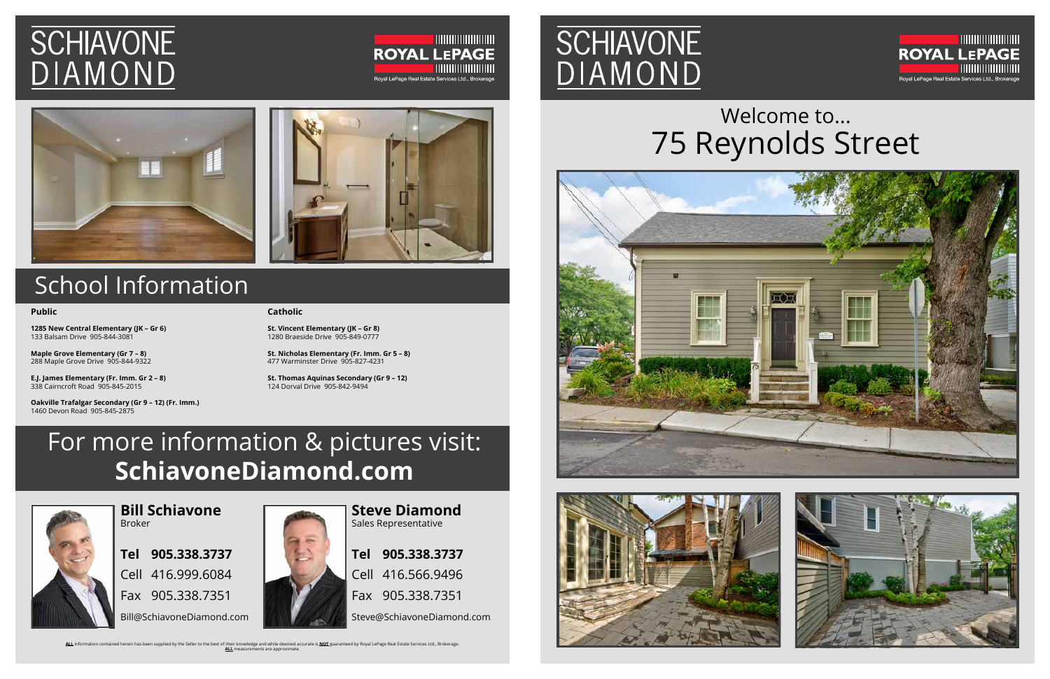Welcome to... 75 Reynolds Street

# **SCHIAVONE** DIAMOND





## School Information

## For more information & pictures visit: **SchiavoneDiamond.com**



**Bill Schiavone** Broker

**Tel 905.338.3737** Cell 416.999.6084 Fax 905.338.7351 Bill@SchiavoneDiamond.com



Sales Representative **Tel 905.338.3737** Cell 416.566.9496 Fax 905.338.7351 Steve@SchiavoneDiamond.com

ALL information contained herein has been supplied by the Seller to the best of their knowledge and while deemed accurate is **NOT** guaranteed by Royal LePage Real Estate Services Ltd., Brokerage.<br>ALL measurements are appro

# **SCHIAVONE** DIAMOND







#### **Public**

**1285 New Central Elementary (JK – Gr 6)** 133 Balsam Drive 905-844-3081

**Maple Grove Elementary (Gr 7 – 8)** 288 Maple Grove Drive 905-844-9322

**E.J. James Elementary (Fr. Imm. Gr 2 – 8)** 338 Cairncroft Road 905-845-2015

**Oakville Trafalgar Secondary (Gr 9 – 12) (Fr. Imm.)** 1460 Devon Road 905-845-2875

### **Catholic**

**St. Vincent Elementary (JK – Gr 8)** 1280 Braeside Drive 905-849-0777

**St. Nicholas Elementary (Fr. Imm. Gr 5 – 8)** 477 Warminster Drive 905-827-4231

**St. Thomas Aquinas Secondary (Gr 9 – 12)** 124 Dorval Drive 905-842-9494